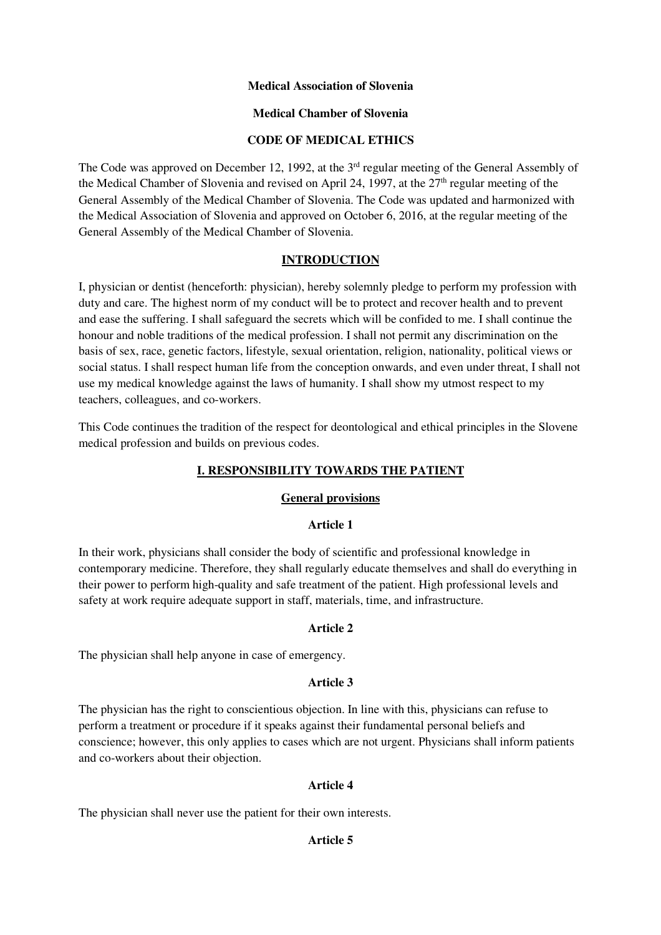### **Medical Association of Slovenia**

### **Medical Chamber of Slovenia**

### **CODE OF MEDICAL ETHICS**

The Code was approved on December 12, 1992, at the 3<sup>rd</sup> regular meeting of the General Assembly of the Medical Chamber of Slovenia and revised on April 24, 1997, at the  $27<sup>th</sup>$  regular meeting of the General Assembly of the Medical Chamber of Slovenia. The Code was updated and harmonized with the Medical Association of Slovenia and approved on October 6, 2016, at the regular meeting of the General Assembly of the Medical Chamber of Slovenia.

# **INTRODUCTION**

I, physician or dentist (henceforth: physician), hereby solemnly pledge to perform my profession with duty and care. The highest norm of my conduct will be to protect and recover health and to prevent and ease the suffering. I shall safeguard the secrets which will be confided to me. I shall continue the honour and noble traditions of the medical profession. I shall not permit any discrimination on the basis of sex, race, genetic factors, lifestyle, sexual orientation, religion, nationality, political views or social status. I shall respect human life from the conception onwards, and even under threat, I shall not use my medical knowledge against the laws of humanity. I shall show my utmost respect to my teachers, colleagues, and co-workers.

This Code continues the tradition of the respect for deontological and ethical principles in the Slovene medical profession and builds on previous codes.

# **I. RESPONSIBILITY TOWARDS THE PATIENT**

# **General provisions**

# **Article 1**

In their work, physicians shall consider the body of scientific and professional knowledge in contemporary medicine. Therefore, they shall regularly educate themselves and shall do everything in their power to perform high-quality and safe treatment of the patient. High professional levels and safety at work require adequate support in staff, materials, time, and infrastructure.

# **Article 2**

The physician shall help anyone in case of emergency.

### **Article 3**

The physician has the right to conscientious objection. In line with this, physicians can refuse to perform a treatment or procedure if it speaks against their fundamental personal beliefs and conscience; however, this only applies to cases which are not urgent. Physicians shall inform patients and co-workers about their objection.

# **Article 4**

The physician shall never use the patient for their own interests.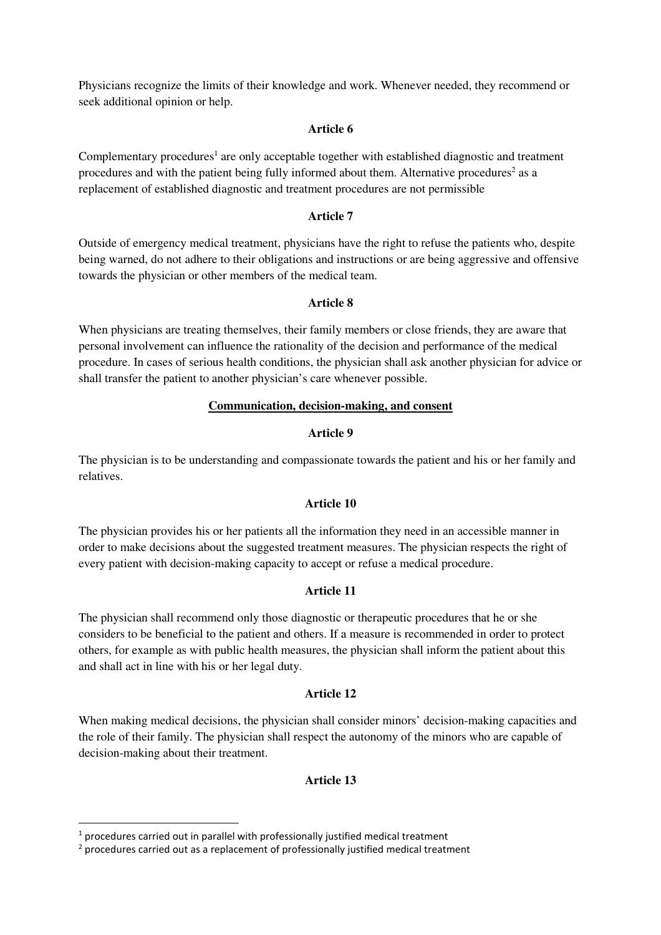Physicians recognize the limits of their knowledge and work. Whenever needed, they recommend or seek additional opinion or help.

#### **Article 6**

Complementary procedures<sup>1</sup> are only acceptable together with established diagnostic and treatment procedures and with the patient being fully informed about them. Alternative procedures<sup>2</sup> as a replacement of established diagnostic and treatment procedures are not permissible

#### **Article 7**

Outside of emergency medical treatment, physicians have the right to refuse the patients who, despite being warned, do not adhere to their obligations and instructions or are being aggressive and offensive towards the physician or other members of the medical team.

### **Article 8**

When physicians are treating themselves, their family members or close friends, they are aware that personal involvement can influence the rationality of the decision and performance of the medical procedure. In cases of serious health conditions, the physician shall ask another physician for advice or shall transfer the patient to another physician's care whenever possible.

### **Communication, decision-making, and consent**

#### **Article 9**

The physician is to be understanding and compassionate towards the patient and his or her family and relatives.

### **Article 10**

The physician provides his or her patients all the information they need in an accessible manner in order to make decisions about the suggested treatment measures. The physician respects the right of every patient with decision-making capacity to accept or refuse a medical procedure.

#### **Article 11**

The physician shall recommend only those diagnostic or therapeutic procedures that he or she considers to be beneficial to the patient and others. If a measure is recommended in order to protect others, for example as with public health measures, the physician shall inform the patient about this and shall act in line with his or her legal duty.

#### **Article 12**

When making medical decisions, the physician shall consider minors' decision-making capacities and the role of their family. The physician shall respect the autonomy of the minors who are capable of decision-making about their treatment.

### **Article 13**

 $\overline{\phantom{a}}$ 

 $1$  procedures carried out in parallel with professionally justified medical treatment

 $2$  procedures carried out as a replacement of professionally justified medical treatment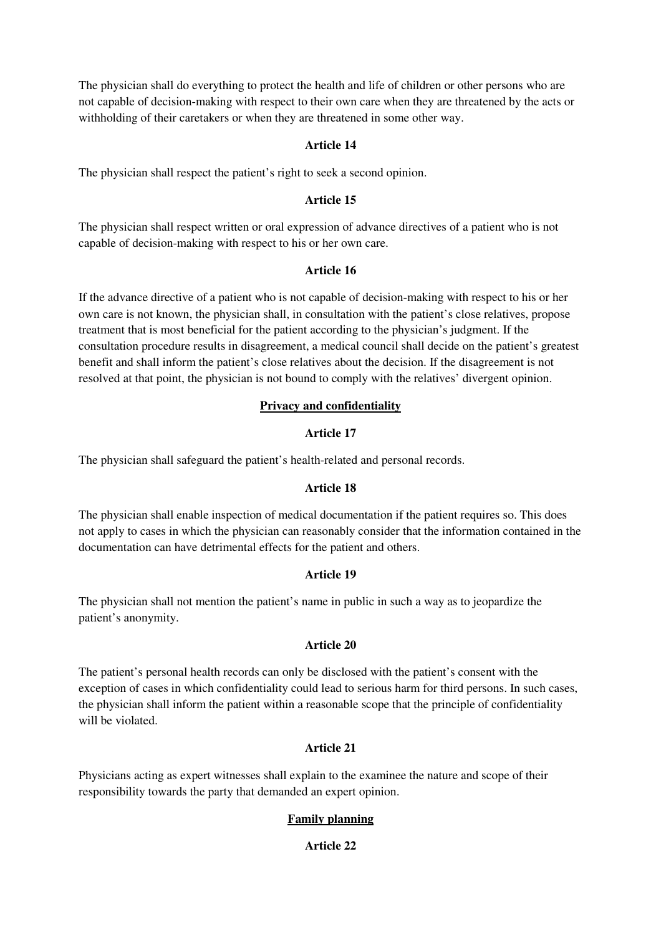The physician shall do everything to protect the health and life of children or other persons who are not capable of decision-making with respect to their own care when they are threatened by the acts or withholding of their caretakers or when they are threatened in some other way.

### **Article 14**

The physician shall respect the patient's right to seek a second opinion.

### **Article 15**

The physician shall respect written or oral expression of advance directives of a patient who is not capable of decision-making with respect to his or her own care.

### **Article 16**

If the advance directive of a patient who is not capable of decision-making with respect to his or her own care is not known, the physician shall, in consultation with the patient's close relatives, propose treatment that is most beneficial for the patient according to the physician's judgment. If the consultation procedure results in disagreement, a medical council shall decide on the patient's greatest benefit and shall inform the patient's close relatives about the decision. If the disagreement is not resolved at that point, the physician is not bound to comply with the relatives' divergent opinion.

# **Privacy and confidentiality**

# **Article 17**

The physician shall safeguard the patient's health-related and personal records.

# **Article 18**

The physician shall enable inspection of medical documentation if the patient requires so. This does not apply to cases in which the physician can reasonably consider that the information contained in the documentation can have detrimental effects for the patient and others.

# **Article 19**

The physician shall not mention the patient's name in public in such a way as to jeopardize the patient's anonymity.

### **Article 20**

The patient's personal health records can only be disclosed with the patient's consent with the exception of cases in which confidentiality could lead to serious harm for third persons. In such cases, the physician shall inform the patient within a reasonable scope that the principle of confidentiality will be violated.

# **Article 21**

Physicians acting as expert witnesses shall explain to the examinee the nature and scope of their responsibility towards the party that demanded an expert opinion.

# **Family planning**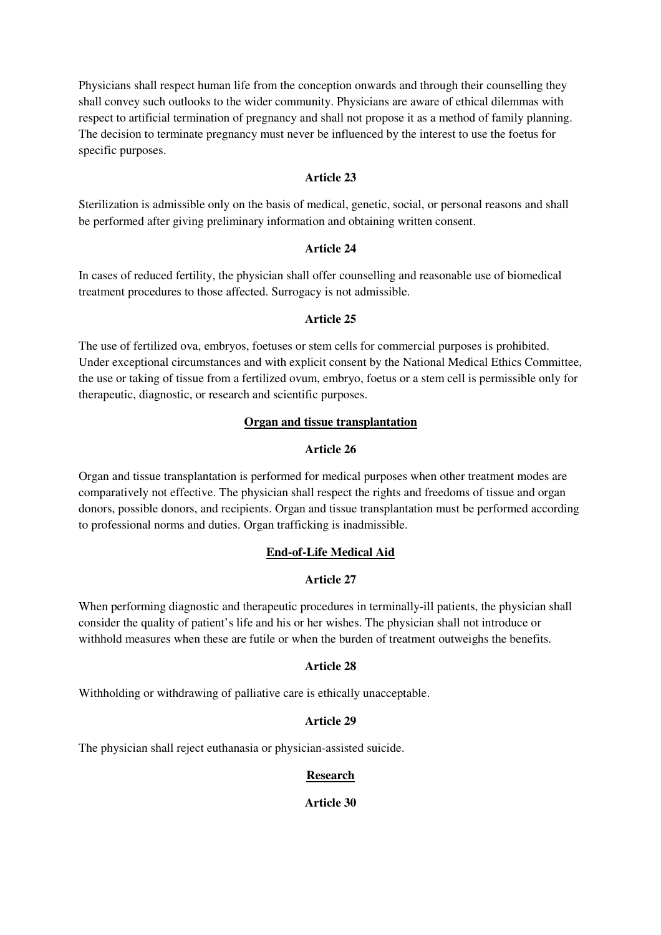Physicians shall respect human life from the conception onwards and through their counselling they shall convey such outlooks to the wider community. Physicians are aware of ethical dilemmas with respect to artificial termination of pregnancy and shall not propose it as a method of family planning. The decision to terminate pregnancy must never be influenced by the interest to use the foetus for specific purposes.

### **Article 23**

Sterilization is admissible only on the basis of medical, genetic, social, or personal reasons and shall be performed after giving preliminary information and obtaining written consent.

### **Article 24**

In cases of reduced fertility, the physician shall offer counselling and reasonable use of biomedical treatment procedures to those affected. Surrogacy is not admissible.

### **Article 25**

The use of fertilized ova, embryos, foetuses or stem cells for commercial purposes is prohibited. Under exceptional circumstances and with explicit consent by the National Medical Ethics Committee, the use or taking of tissue from a fertilized ovum, embryo, foetus or a stem cell is permissible only for therapeutic, diagnostic, or research and scientific purposes.

### **Organ and tissue transplantation**

### **Article 26**

Organ and tissue transplantation is performed for medical purposes when other treatment modes are comparatively not effective. The physician shall respect the rights and freedoms of tissue and organ donors, possible donors, and recipients. Organ and tissue transplantation must be performed according to professional norms and duties. Organ trafficking is inadmissible.

# **End-of-Life Medical Aid**

# **Article 27**

When performing diagnostic and therapeutic procedures in terminally-ill patients, the physician shall consider the quality of patient's life and his or her wishes. The physician shall not introduce or withhold measures when these are futile or when the burden of treatment outweighs the benefits.

# **Article 28**

Withholding or withdrawing of palliative care is ethically unacceptable.

# **Article 29**

The physician shall reject euthanasia or physician-assisted suicide.

# **Research**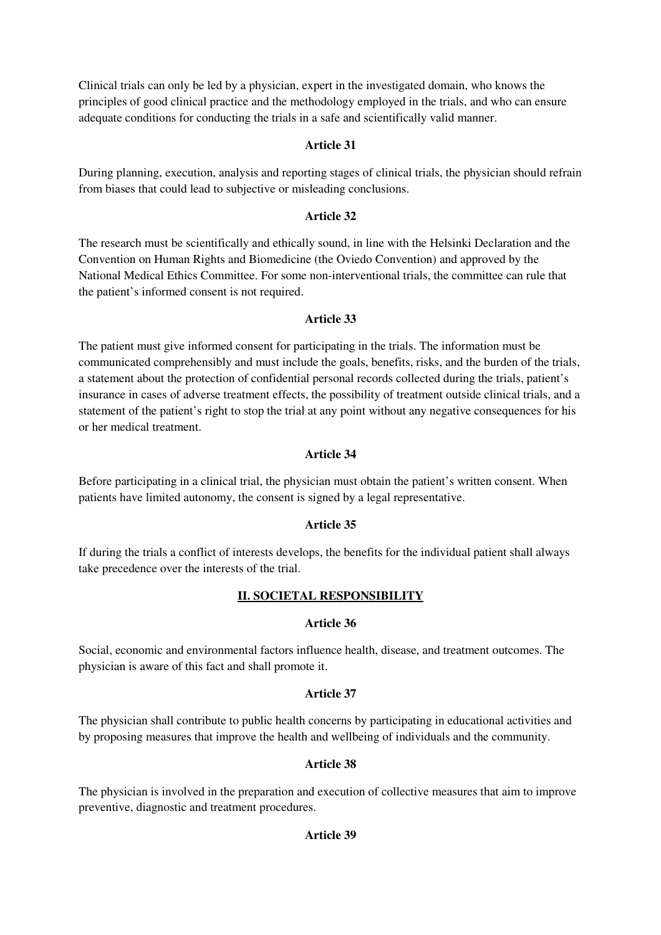Clinical trials can only be led by a physician, expert in the investigated domain, who knows the principles of good clinical practice and the methodology employed in the trials, and who can ensure adequate conditions for conducting the trials in a safe and scientifically valid manner.

# **Article 31**

During planning, execution, analysis and reporting stages of clinical trials, the physician should refrain from biases that could lead to subjective or misleading conclusions.

### **Article 32**

The research must be scientifically and ethically sound, in line with the Helsinki Declaration and the Convention on Human Rights and Biomedicine (the Oviedo Convention) and approved by the National Medical Ethics Committee. For some non-interventional trials, the committee can rule that the patient's informed consent is not required.

# **Article 33**

The patient must give informed consent for participating in the trials. The information must be communicated comprehensibly and must include the goals, benefits, risks, and the burden of the trials, a statement about the protection of confidential personal records collected during the trials, patient's insurance in cases of adverse treatment effects, the possibility of treatment outside clinical trials, and a statement of the patient's right to stop the trial at any point without any negative consequences for his or her medical treatment.

### **Article 34**

Before participating in a clinical trial, the physician must obtain the patient's written consent. When patients have limited autonomy, the consent is signed by a legal representative.

# **Article 35**

If during the trials a conflict of interests develops, the benefits for the individual patient shall always take precedence over the interests of the trial.

# **II. SOCIETAL RESPONSIBILITY**

### **Article 36**

Social, economic and environmental factors influence health, disease, and treatment outcomes. The physician is aware of this fact and shall promote it.

### **Article 37**

The physician shall contribute to public health concerns by participating in educational activities and by proposing measures that improve the health and wellbeing of individuals and the community.

# **Article 38**

The physician is involved in the preparation and execution of collective measures that aim to improve preventive, diagnostic and treatment procedures.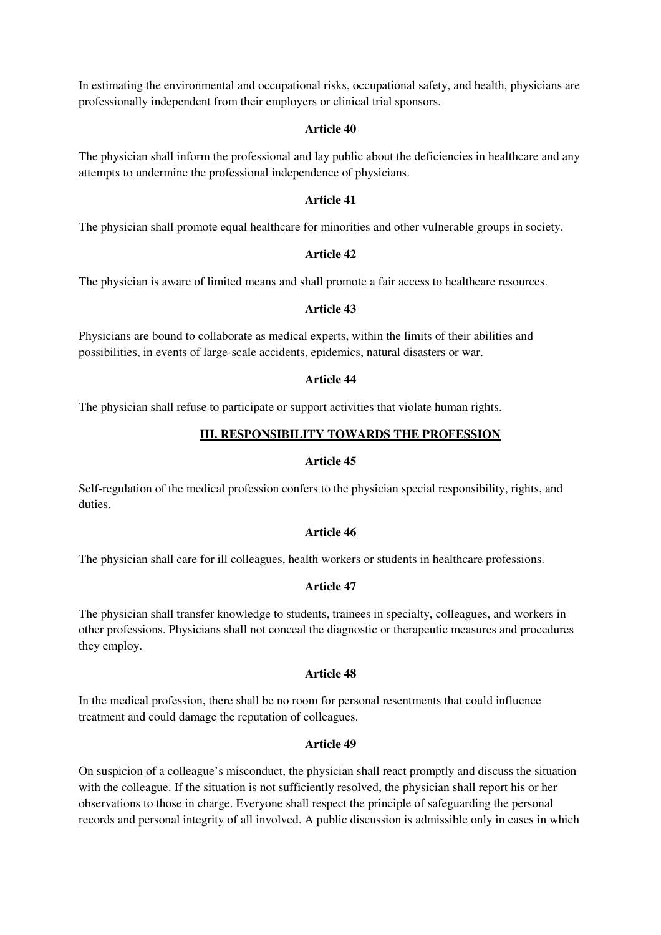In estimating the environmental and occupational risks, occupational safety, and health, physicians are professionally independent from their employers or clinical trial sponsors.

#### **Article 40**

The physician shall inform the professional and lay public about the deficiencies in healthcare and any attempts to undermine the professional independence of physicians.

#### **Article 41**

The physician shall promote equal healthcare for minorities and other vulnerable groups in society.

### **Article 42**

The physician is aware of limited means and shall promote a fair access to healthcare resources.

#### **Article 43**

Physicians are bound to collaborate as medical experts, within the limits of their abilities and possibilities, in events of large-scale accidents, epidemics, natural disasters or war.

#### **Article 44**

The physician shall refuse to participate or support activities that violate human rights.

### **III. RESPONSIBILITY TOWARDS THE PROFESSION**

#### **Article 45**

Self-regulation of the medical profession confers to the physician special responsibility, rights, and duties.

### **Article 46**

The physician shall care for ill colleagues, health workers or students in healthcare professions.

#### **Article 47**

The physician shall transfer knowledge to students, trainees in specialty, colleagues, and workers in other professions. Physicians shall not conceal the diagnostic or therapeutic measures and procedures they employ.

### **Article 48**

In the medical profession, there shall be no room for personal resentments that could influence treatment and could damage the reputation of colleagues.

#### **Article 49**

On suspicion of a colleague's misconduct, the physician shall react promptly and discuss the situation with the colleague. If the situation is not sufficiently resolved, the physician shall report his or her observations to those in charge. Everyone shall respect the principle of safeguarding the personal records and personal integrity of all involved. A public discussion is admissible only in cases in which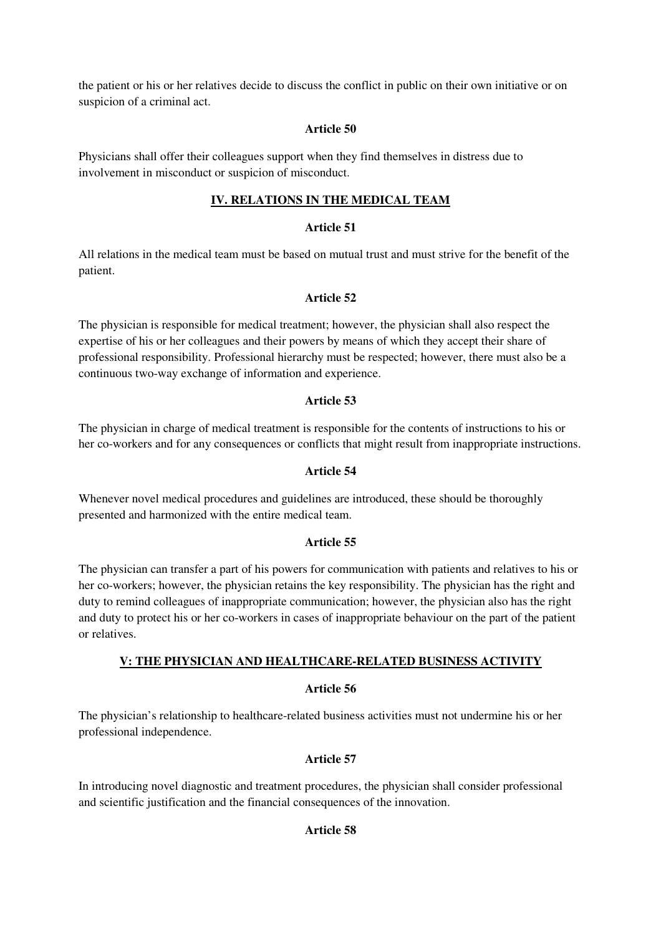the patient or his or her relatives decide to discuss the conflict in public on their own initiative or on suspicion of a criminal act.

### **Article 50**

Physicians shall offer their colleagues support when they find themselves in distress due to involvement in misconduct or suspicion of misconduct.

# **IV. RELATIONS IN THE MEDICAL TEAM**

### **Article 51**

All relations in the medical team must be based on mutual trust and must strive for the benefit of the patient.

### **Article 52**

The physician is responsible for medical treatment; however, the physician shall also respect the expertise of his or her colleagues and their powers by means of which they accept their share of professional responsibility. Professional hierarchy must be respected; however, there must also be a continuous two-way exchange of information and experience.

### **Article 53**

The physician in charge of medical treatment is responsible for the contents of instructions to his or her co-workers and for any consequences or conflicts that might result from inappropriate instructions.

### **Article 54**

Whenever novel medical procedures and guidelines are introduced, these should be thoroughly presented and harmonized with the entire medical team.

### **Article 55**

The physician can transfer a part of his powers for communication with patients and relatives to his or her co-workers; however, the physician retains the key responsibility. The physician has the right and duty to remind colleagues of inappropriate communication; however, the physician also has the right and duty to protect his or her co-workers in cases of inappropriate behaviour on the part of the patient or relatives.

# **V: THE PHYSICIAN AND HEALTHCARE-RELATED BUSINESS ACTIVITY**

### **Article 56**

The physician's relationship to healthcare-related business activities must not undermine his or her professional independence.

# **Article 57**

In introducing novel diagnostic and treatment procedures, the physician shall consider professional and scientific justification and the financial consequences of the innovation.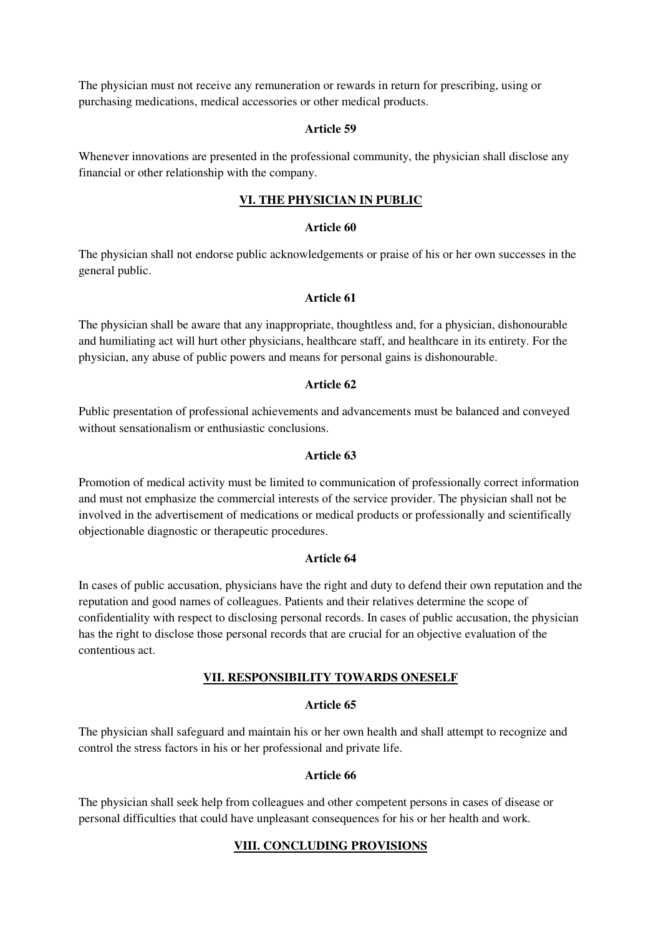The physician must not receive any remuneration or rewards in return for prescribing, using or purchasing medications, medical accessories or other medical products.

#### **Article 59**

Whenever innovations are presented in the professional community, the physician shall disclose any financial or other relationship with the company.

# **VI. THE PHYSICIAN IN PUBLIC**

#### **Article 60**

The physician shall not endorse public acknowledgements or praise of his or her own successes in the general public.

#### **Article 61**

The physician shall be aware that any inappropriate, thoughtless and, for a physician, dishonourable and humiliating act will hurt other physicians, healthcare staff, and healthcare in its entirety. For the physician, any abuse of public powers and means for personal gains is dishonourable.

#### **Article 62**

Public presentation of professional achievements and advancements must be balanced and conveyed without sensationalism or enthusiastic conclusions.

### **Article 63**

Promotion of medical activity must be limited to communication of professionally correct information and must not emphasize the commercial interests of the service provider. The physician shall not be involved in the advertisement of medications or medical products or professionally and scientifically objectionable diagnostic or therapeutic procedures.

#### **Article 64**

In cases of public accusation, physicians have the right and duty to defend their own reputation and the reputation and good names of colleagues. Patients and their relatives determine the scope of confidentiality with respect to disclosing personal records. In cases of public accusation, the physician has the right to disclose those personal records that are crucial for an objective evaluation of the contentious act.

#### **VII. RESPONSIBILITY TOWARDS ONESELF**

#### **Article 65**

The physician shall safeguard and maintain his or her own health and shall attempt to recognize and control the stress factors in his or her professional and private life.

### **Article 66**

The physician shall seek help from colleagues and other competent persons in cases of disease or personal difficulties that could have unpleasant consequences for his or her health and work.

### **VIII. CONCLUDING PROVISIONS**